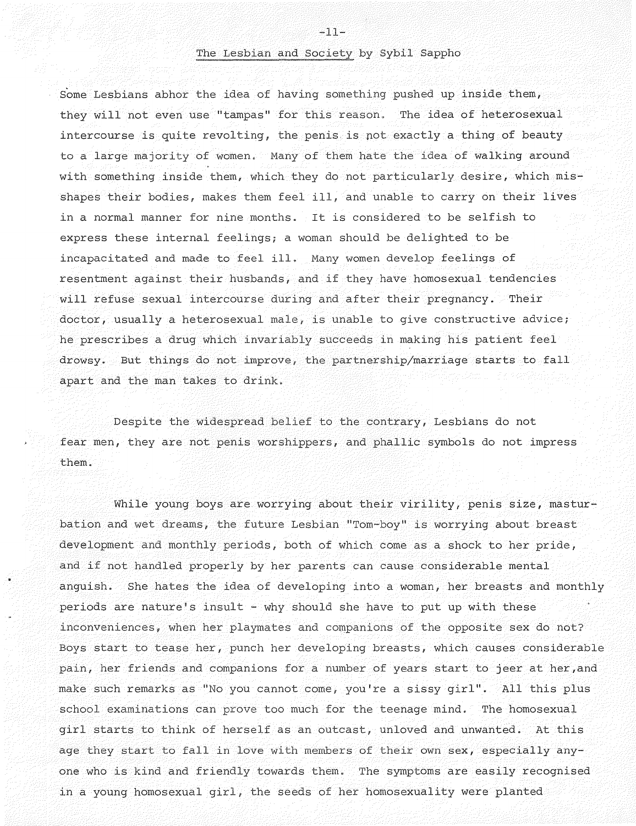## The Lesbian and Society by Sybil Sappho

Some Lesbians abhor the idea of having something pushed up inside them, they will not even use "tampas" for this reason. The idea of heterosexual intercourse is quite revolting, the penis is pot exactly a thing of beauty to a large majority of women. Many of them hate the idea of walking around with something inside them, which they do not particularly desire, which misshapes their bodies, makes them feel ill, and unable to carry on their lives in a normal manner for nine months. It is considered to be selfish to express these internal feelings; a woman should be delighted to be incapacitated and made to feel ill. Many women develop feelings of resentment against their husbands, and if they have homosexual tendencies will refuse sexual intercourse during and after their pregnancy. Their doctor, usually a heterosexual male, is unable to give constructive advice; he prescribes a drug which invariably succeeds in making his patient feel drowsy. But things do not improve, the partnership/marriage starts to fall apart and the man takes to drink.

Despite the widespread belief to the contrary, Lesbians do not fear men, they are not penis worshippers, and phallic symbols do not impress them.

While young boys are worrying about their virility, penis size, masturbation and wet dreams, the future Lesbian "Tom-boy" is worrying about breast development and monthly periods, both of which come as a shock to her pride, and if not handled properly by her parents can cause considerable mental anguish. She hates the idea of developing into a woman, her breasts and monthly periods are nature's insult - why should she have to put up with these inconveniences, when her playmates and companions of the opposite sex do not? Boys start to tease her, punch her developing breasts, which causes considerable pain, her friends and companions for a number of years start to jeer at her,and make such remarks as "No you cannot come, you're a sissy girl". All this plus school examinations can prove too much for the teenage mind. The homosexual girl starts to think of herself as an outcast, unloved and unwanted. At this age they start to fall in love with members of their own sex, especially anyone who is kind and friendly towards them. The symptoms are easily recognised in a young homosexual girl, the seeds of her homosexuality were planted

 $-11-$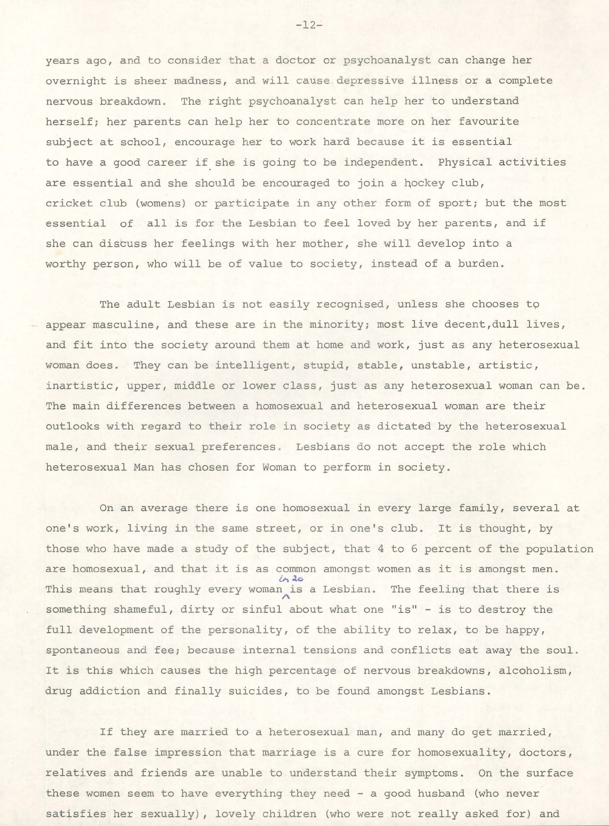years ago, and to consider that a doctor or psychoanalyst can change her overnight is sheer madness, and will cause depressive illness or a complete nervous breakdown. The right psychoanalyst can help her to understand herself; her parents can help her to concentrate more on her favourite subject at school, encourage her to work hard because it is essential to have a good career if she is going to be independent. Physical activities are essential and she should be encouraged to join a hockey club, cricket club (womens) or participate in any other form of sport; but the most essential of all is for the Lesbian to feel loved by her parents, and if she can discuss her feelings with her mother, she will develop into a worthy person, who will be of value to society, instead of a burden.

The adult Lesbian is not easily recognised, unless she chooses to appear masculine, and these are in the minority; most live decent, dull lives, and fit into the society around them at home and work, just as any heterosexual woman does. They can be intelligent, stupid, stable, unstable, artistic, inartistic, upper, middle or lower class, just as any heterosexual woman can be. The main differences between a homosexual and heterosexual woman are their outlooks with regard to their role in society as dictated by the heterosexual male, and their sexual preferences. Lesbians do not accept the role which heterosexual Man has chosen for Woman to perform in society.

On an average there is one homosexual in every large family, several at one's work, living in the same street, or in one's club. It is thought, by those who have made a study of the subject, that 4 to 6 percent of the population are homosexual, and that it is as common amongst women as it is amongst men. This means that roughly every woman is a Lesbian. The feeling that there is something shameful, dirty or sinful about what one "is" - is to destroy the full development of the personality, of the ability to relax, to be happy, spontaneous and fee; because internal tensions and conflicts eat away the soul . It is this which causes the high percentage of nervous breakdowns, alcoholism, drug addiction and finally suicides, to be found amongst Lesbians.

If they are married to a heterosexual man, and many do get married, under the false impression that marriage is a cure for homosexuality, doctors, relatives and friends are unable to understand their symptoms. On the surface these women seem to have everything they need - a good husband (who never satisfies her sexually), lovely children (who were not really asked for) and

-12-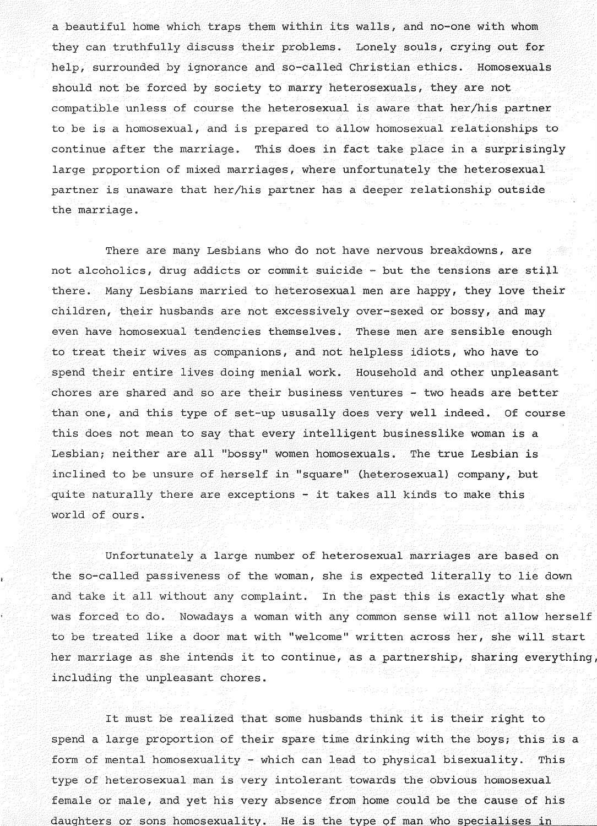a beautiful home which traps them within its walls, and no-one with whom they can truthfully discuss their problems. Lonely souls, crying out for help, surrounded by ignorance and so-called Christian ethics. Homosexuals should not be forced by society to marry heterosexuals, they are not compatible unless of course the heterosexual is aware that her/his partner to be is a homosexual, and is prepared to allow homosexual relationships to continue after the marriage. This does in fact take place in a surprisingly large proportion of mixed marriages, where unfortunately the heterosexual partner is unaware that her/his partner has a deeper relationship outside the marriage.

There are many Lesbians who do not have nervous breakdowns, are not alcoholics, drug addicts or commit suicide - but the tensions are still there. Many Lesbians married to heterosexual men are happy, they love their children, their husbands are not excessively over-sexed or bossy, and may even have homosexual tendencies themselves. These men are sensible enough to treat their wives as companions, and not helpless idiots, who have to spend their entire lives doing menial work. Household and other unpleasant chores are shared and so are their business ventures - two heads are better than one, and this type of set-up ususally does very well indeed. Of course this does not mean to say that every intelligent businesslike woman is a Lesbian; neither are all "bossy" women homosexuals. The true Lesbian is inclined to be unsure of herself in "square" (heterosexual) company, but quite naturally there are exceptions - it takes all kinds to make this world of ours.

Unfortunately a large number of heterosexual marriages are based on the so-called passiveness of the woman, she is expected literally to lie down and take it all without any complaint. In the past this is exactly what she was forced to do. Nowadays a woman with any common sense will not allow herself to be treated like a door mat with "welcome" written across her, she will start her marriage as she intends it to continue, as a partnership, sharing everything, including the unpleasant chores.

It must be realized that some husbands think it is their right to spend a large proportion of their spare time drinking with the boys; this is a form of mental homosexuality - which can lead to physical bisexuality. This type of heterosexual man is very intolerant towards the obvious homosexual female or male, and yet his very absence from home could be the cause of his daughters or sons homosexuality. He is the type of man who specialises in